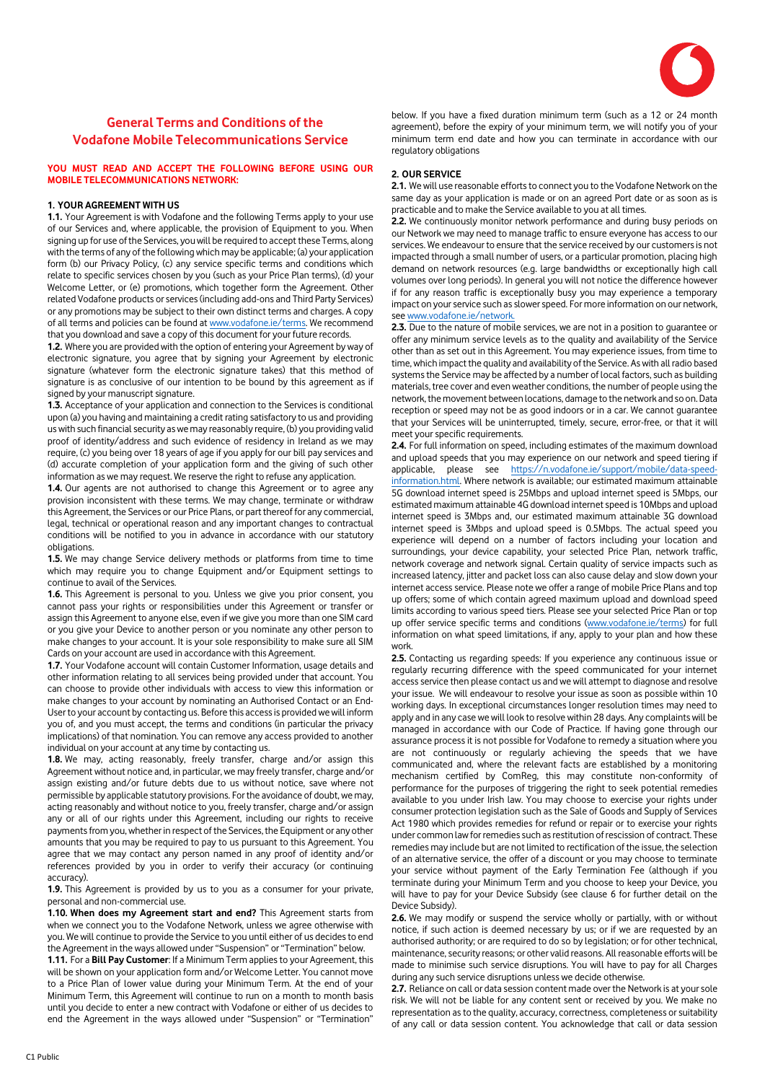

# **General Terms and Conditions of the Vodafone Mobile Telecommunications Service**

# **YOU MUST READ AND ACCEPT THE FOLLOWING BEFORE USING OUR MOBILE TELECOMMUNICATIONS NETWORK:**

# **1. YOUR AGREEMENT WITH US**

**1.1.** Your Agreement is with Vodafone and the following Terms apply to your use of our Services and, where applicable, the provision of Equipment to you. When signing up for use of the Services, you will be required to accept these Terms, along with the terms of any of the following which may be applicable; (a) your application form (b) our Privacy Policy, (c) any service specific terms and conditions which relate to specific services chosen by you (such as your Price Plan terms), (d) your Welcome Letter, or (e) promotions, which together form the Agreement. Other related Vodafone products or services (including add-ons and Third Party Services) or any promotions may be subject to their own distinct terms and charges. A copy of all terms and policies can be found a[t www.vodafone.ie/terms.](http://www.vodafone.ie/terms) We recommend that you download and save a copy of this document for your future records.

**1.2.** Where you are provided with the option of entering your Agreement by way of electronic signature, you agree that by signing your Agreement by electronic signature (whatever form the electronic signature takes) that this method of signature is as conclusive of our intention to be bound by this agreement as if signed by your manuscript signature.

**1.3.** Acceptance of your application and connection to the Services is conditional upon (a) you having and maintaining a credit rating satisfactory to us and providing us with such financial security as we may reasonably require, (b) you providing valid proof of identity/address and such evidence of residency in Ireland as we may require, (c) you being over 18 years of age if you apply for our bill pay services and (d) accurate completion of your application form and the giving of such other information as we may request. We reserve the right to refuse any application.

**1.4.** Our agents are not authorised to change this Agreement or to agree any provision inconsistent with these terms. We may change, terminate or withdraw this Agreement, the Services or our Price Plans, or part thereof for any commercial, legal, technical or operational reason and any important changes to contractual conditions will be notified to you in advance in accordance with our statutory obligations.

**1.5.** We may change Service delivery methods or platforms from time to time which may require you to change Equipment and/or Equipment settings to continue to avail of the Services.

**1.6.** This Agreement is personal to you. Unless we give you prior consent, you cannot pass your rights or responsibilities under this Agreement or transfer or assign this Agreement to anyone else, even if we give you more than one SIM card or you give your Device to another person or you nominate any other person to make changes to your account. It is your sole responsibility to make sure all SIM Cards on your account are used in accordance with this Agreement.

**1.7.** Your Vodafone account will contain Customer Information, usage details and other information relating to all services being provided under that account. You can choose to provide other individuals with access to view this information or make changes to your account by nominating an Authorised Contact or an End-User to your account by contacting us. Before this access is provided we will inform you of, and you must accept, the terms and conditions (in particular the privacy implications) of that nomination. You can remove any access provided to another individual on your account at any time by contacting us.

**1.8.** We may, acting reasonably, freely transfer, charge and/or assign this Agreement without notice and, in particular, we may freely transfer, charge and/or assign existing and/or future debts due to us without notice, save where not permissible by applicable statutory provisions. For the avoidance of doubt, we may, acting reasonably and without notice to you, freely transfer, charge and/or assign any or all of our rights under this Agreement, including our rights to receive payments from you, whether in respect of the Services, the Equipment or any other amounts that you may be required to pay to us pursuant to this Agreement. You agree that we may contact any person named in any proof of identity and/or references provided by you in order to verify their accuracy (or continuing accuracy).

**1.9.** This Agreement is provided by us to you as a consumer for your private, personal and non-commercial use.

**1.10. When does my Agreement start and end?** This Agreement starts from when we connect you to the Vodafone Network, unless we agree otherwise with you. We will continue to provide the Service to you until either of us decides to end the Agreement in the ways allowed under "Suspension" or "Termination" below.

**1.11.** For a **Bill Pay Customer**: If a Minimum Term applies to your Agreement, this will be shown on your application form and/or Welcome Letter. You cannot move to a Price Plan of lower value during your Minimum Term. At the end of your Minimum Term, this Agreement will continue to run on a month to month basis until you decide to enter a new contract with Vodafone or either of us decides to end the Agreement in the ways allowed under "Suspension" or "Termination"

below. If you have a fixed duration minimum term (such as a 12 or 24 month agreement), before the expiry of your minimum term, we will notify you of your minimum term end date and how you can terminate in accordance with our regulatory obligations

## **2. OUR SERVICE**

**2.1.** We will use reasonable efforts to connect you to the Vodafone Network on the same day as your application is made or on an agreed Port date or as soon as is practicable and to make the Service available to you at all times.

**2.2.** We continuously monitor network performance and during busy periods on our Network we may need to manage traffic to ensure everyone has access to our services. We endeavour to ensure that the service received by our customers is not impacted through a small number of users, or a particular promotion, placing high demand on network resources (e.g. large bandwidths or exceptionally high call volumes over long periods). In general you will not notice the difference however if for any reason traffic is exceptionally busy you may experience a temporary impact on your service such as slower speed. For more information on our network, se[e www.vodafone.ie/network.](http://www.vodafone.ie/network)

**2.3.** Due to the nature of mobile services, we are not in a position to guarantee or offer any minimum service levels as to the quality and availability of the Service other than as set out in this Agreement. You may experience issues, from time to time, which impact the quality and availability of the Service. As with all radio based systems the Service may be affected by a number of local factors, such as building materials, tree cover and even weather conditions, the number of people using the network, the movement between locations, damage to the network and so on. Data reception or speed may not be as good indoors or in a car. We cannot guarantee that your Services will be uninterrupted, timely, secure, error-free, or that it will meet your specific requirements.

**2.4.** For full information on speed, including estimates of the maximum download and upload speeds that you may experience on our network and speed tiering if applicable, please see [https://n.vodafone.ie/support/mobile/data-speed](https://n.vodafone.ie/support/mobile/data-speed-information.html)[information.html.](https://n.vodafone.ie/support/mobile/data-speed-information.html) Where network is available; our estimated maximum attainable 5G download internet speed is 25Mbps and upload internet speed is 5Mbps, our estimated maximum attainable 4G download internet speed is 10Mbps and upload internet speed is 3Mbps and, our estimated maximum attainable 3G download internet speed is 3Mbps and upload speed is 0.5Mbps. The actual speed you experience will depend on a number of factors including your location and surroundings, your device capability, your selected Price Plan, network traffic, network coverage and network signal. Certain quality of service impacts such as increased latency, jitter and packet loss can also cause delay and slow down your internet access service. Please note we offer a range of mobile Price Plans and top up offers; some of which contain agreed maximum upload and download speed limits according to various speed tiers. Please see your selected Price Plan or top up offer service specific terms and conditions [\(www.vodafone.ie/terms\)](http://www.vodafone.ie/terms) for full information on what speed limitations, if any, apply to your plan and how these work.

**2.5.** Contacting us regarding speeds: If you experience any continuous issue or regularly recurring difference with the speed communicated for your internet access service then please contact us and we will attempt to diagnose and resolve your issue. We will endeavour to resolve your issue as soon as possible within 10 working days. In exceptional circumstances longer resolution times may need to apply and in any case we will look to resolve within 28 days. Any complaints will be managed in accordance with our Code of Practice. If having gone through our assurance process it is not possible for Vodafone to remedy a situation where you are not continuously or regularly achieving the speeds that we have communicated and, where the relevant facts are established by a monitoring mechanism certified by ComReg, this may constitute non-conformity of performance for the purposes of triggering the right to seek potential remedies available to you under Irish law. You may choose to exercise your rights under consumer protection legislation such as the Sale of Goods and Supply of Services Act 1980 which provides remedies for refund or repair or to exercise your rights under common law for remedies such as restitution of rescission of contract. These remedies may include but are not limited to rectification of the issue, the selection of an alternative service, the offer of a discount or you may choose to terminate your service without payment of the Early Termination Fee (although if you terminate during your Minimum Term and you choose to keep your Device, you will have to pay for your Device Subsidy (see clause 6 for further detail on the Device Subsidy).

**2.6.** We may modify or suspend the service wholly or partially, with or without notice, if such action is deemed necessary by us; or if we are requested by an authorised authority; or are required to do so by legislation; or for other technical, maintenance, security reasons; or other valid reasons. All reasonable efforts will be made to minimise such service disruptions. You will have to pay for all Charges during any such service disruptions unless we decide otherwise.

**2.7.** Reliance on call or data session content made over the Network is at your sole risk. We will not be liable for any content sent or received by you. We make no representation as to the quality, accuracy, correctness, completeness or suitability of any call or data session content. You acknowledge that call or data session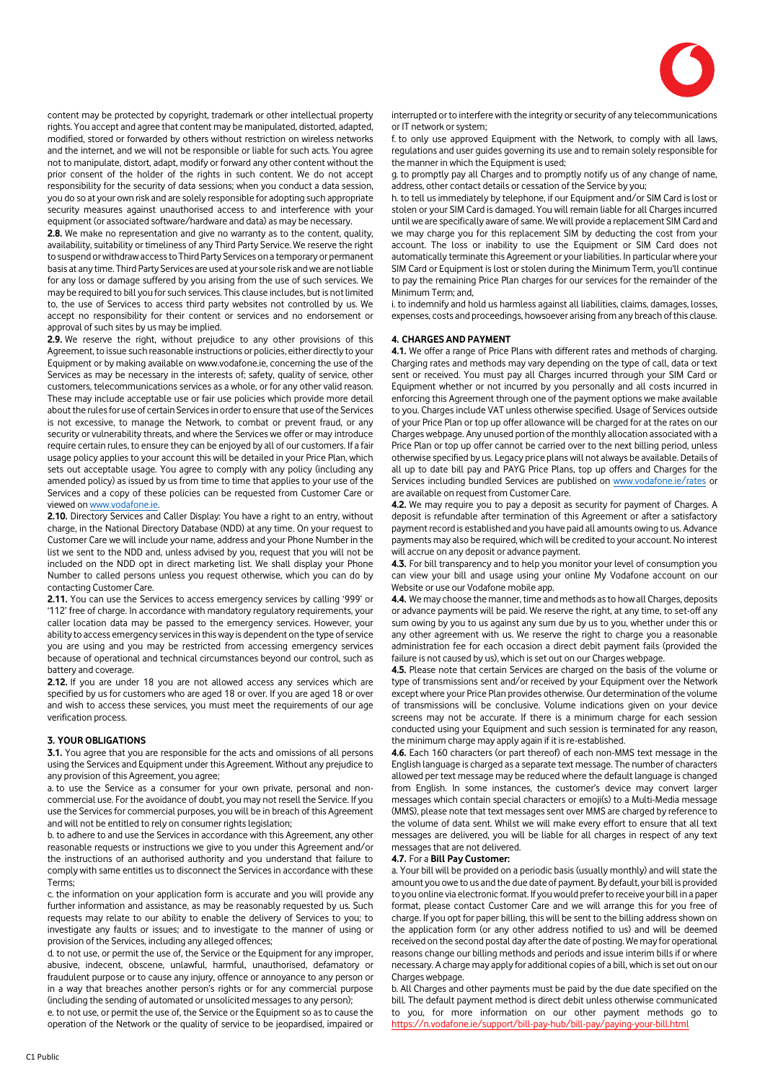

content may be protected by copyright, trademark or other intellectual property rights. You accept and agree that content may be manipulated, distorted, adapted, modified, stored or forwarded by others without restriction on wireless networks and the internet, and we will not be responsible or liable for such acts. You agree not to manipulate, distort, adapt, modify or forward any other content without the prior consent of the holder of the rights in such content. We do not accept responsibility for the security of data sessions; when you conduct a data session, you do so at your own risk and are solely responsible for adopting such appropriate security measures against unauthorised access to and interference with your equipment (or associated software/hardware and data) as may be necessary.

**2.8.** We make no representation and give no warranty as to the content, quality, availability, suitability or timeliness of any Third Party Service. We reserve the right to suspend or withdraw access to Third Party Services on a temporary or permanent basis at any time. Third Party Services are used at your sole risk and we are not liable for any loss or damage suffered by you arising from the use of such services. We may be required to bill you for such services. This clause includes, but is not limited to, the use of Services to access third party websites not controlled by us. We accept no responsibility for their content or services and no endorsement or approval of such sites by us may be implied.

**2.9.** We reserve the right, without prejudice to any other provisions of this Agreement, to issue such reasonable instructions or policies, either directly to your Equipment or by making available on www.vodafone.ie, concerning the use of the Services as may be necessary in the interests of; safety, quality of service, other customers, telecommunications services as a whole, or for any other valid reason. These may include acceptable use or fair use policies which provide more detail about the rules for use of certain Services in order to ensure that use of the Services is not excessive, to manage the Network, to combat or prevent fraud, or any security or vulnerability threats, and where the Services we offer or may introduce require certain rules, to ensure they can be enjoyed by all of our customers. If a fair usage policy applies to your account this will be detailed in your Price Plan, which sets out acceptable usage. You agree to comply with any policy (including any amended policy) as issued by us from time to time that applies to your use of the Services and a copy of these policies can be requested from Customer Care or viewed o[n www.vodafone.ie.](http://www.vodafone.ie/) 

**2.10.** Directory Services and Caller Display: You have a right to an entry, without charge, in the National Directory Database (NDD) at any time. On your request to Customer Care we will include your name, address and your Phone Number in the list we sent to the NDD and, unless advised by you, request that you will not be included on the NDD opt in direct marketing list. We shall display your Phone Number to called persons unless you request otherwise, which you can do by contacting Customer Care.

**2.11.** You can use the Services to access emergency services by calling '999' or '112' free of charge. In accordance with mandatory regulatory requirements, your caller location data may be passed to the emergency services. However, your ability to access emergency services in this way is dependent on the type of service you are using and you may be restricted from accessing emergency services because of operational and technical circumstances beyond our control, such as battery and coverage.

**2.12.** If you are under 18 you are not allowed access any services which are specified by us for customers who are aged 18 or over. If you are aged 18 or over and wish to access these services, you must meet the requirements of our age verification process.

# **3. YOUR OBLIGATIONS**

**3.1.** You agree that you are responsible for the acts and omissions of all persons using the Services and Equipment under this Agreement. Without any prejudice to any provision of this Agreement, you agree;

a. to use the Service as a consumer for your own private, personal and noncommercial use. For the avoidance of doubt, you may not resell the Service. If you use the Services for commercial purposes, you will be in breach of this Agreement and will not be entitled to rely on consumer rights legislation;

b. to adhere to and use the Services in accordance with this Agreement, any other reasonable requests or instructions we give to you under this Agreement and/or the instructions of an authorised authority and you understand that failure to comply with same entitles us to disconnect the Services in accordance with these Terms;

c. the information on your application form is accurate and you will provide any further information and assistance, as may be reasonably requested by us. Such requests may relate to our ability to enable the delivery of Services to you; to investigate any faults or issues; and to investigate to the manner of using or provision of the Services, including any alleged offences;

d. to not use, or permit the use of, the Service or the Equipment for any improper, abusive, indecent, obscene, unlawful, harmful, unauthorised, defamatory or fraudulent purpose or to cause any injury, offence or annoyance to any person or in a way that breaches another person's rights or for any commercial purpose (including the sending of automated or unsolicited messages to any person);

e. to not use, or permit the use of, the Service or the Equipment so as to cause the operation of the Network or the quality of service to be jeopardised, impaired or

interrupted or to interfere with the integrity or security of any telecommunications or IT network or system;

f. to only use approved Equipment with the Network, to comply with all laws, regulations and user guides governing its use and to remain solely responsible for the manner in which the Equipment is used;

g. to promptly pay all Charges and to promptly notify us of any change of name, address, other contact details or cessation of the Service by you;

h. to tell us immediately by telephone, if our Equipment and/or SIM Card is lost or stolen or your SIM Card is damaged. You will remain liable for all Charges incurred until we are specifically aware of same. We will provide a replacement SIM Card and we may charge you for this replacement SIM by deducting the cost from your account. The loss or inability to use the Equipment or SIM Card does not automatically terminate this Agreement or your liabilities. In particular where your SIM Card or Equipment is lost or stolen during the Minimum Term, you'll continue to pay the remaining Price Plan charges for our services for the remainder of the Minimum Term; and,

i. to indemnify and hold us harmless against all liabilities, claims, damages, losses, expenses, costs and proceedings, howsoever arising from any breach of this clause.

#### **4. CHARGES AND PAYMENT**

**4.1.** We offer a range of Price Plans with different rates and methods of charging. Charging rates and methods may vary depending on the type of call, data or text sent or received. You must pay all Charges incurred through your SIM Card or Equipment whether or not incurred by you personally and all costs incurred in enforcing this Agreement through one of the payment options we make available to you. Charges include VAT unless otherwise specified. Usage of Services outside of your Price Plan or top up offer allowance will be charged for at the rates on our Charges webpage. Any unused portion of the monthly allocation associated with a Price Plan or top up offer cannot be carried over to the next billing period, unless otherwise specified by us. Legacy price plans will not always be available. Details of all up to date bill pay and PAYG Price Plans, top up offers and Charges for the Services including bundled Services are published o[n www.vodafone.ie/rates](http://www.vodafone.ie/rates) or are available on request from Customer Care.

**4.2.** We may require you to pay a deposit as security for payment of Charges. A deposit is refundable after termination of this Agreement or after a satisfactory payment record is established and you have paid all amounts owing to us. Advance payments may also be required, which will be credited to your account. No interest will accrue on any deposit or advance payment.

**4.3.** For bill transparency and to help you monitor your level of consumption you can view your bill and usage using your online My Vodafone account on our Website or use our Vodafone mobile app.

**4.4.** We may choose the manner, time and methods as to how all Charges, deposits or advance payments will be paid. We reserve the right, at any time, to set-off any sum owing by you to us against any sum due by us to you, whether under this or any other agreement with us. We reserve the right to charge you a reasonable administration fee for each occasion a direct debit payment fails (provided the failure is not caused by us), which is set out on our Charges webpage.

**4.5.** Please note that certain Services are charged on the basis of the volume or type of transmissions sent and/or received by your Equipment over the Network except where your Price Plan provides otherwise. Our determination of the volume of transmissions will be conclusive. Volume indications given on your device screens may not be accurate. If there is a minimum charge for each session conducted using your Equipment and such session is terminated for any reason, the minimum charge may apply again if it is re-established.

**4.6.** Each 160 characters (or part thereof) of each non-MMS text message in the English language is charged as a separate text message. The number of characters allowed per text message may be reduced where the default language is changed from English. In some instances, the customer's device may convert larger messages which contain special characters or emoji(s) to a Multi-Media message (MMS), please note that text messages sent over MMS are charged by reference to the volume of data sent. Whilst we will make every effort to ensure that all text messages are delivered, you will be liable for all charges in respect of any text messages that are not delivered.

#### **4.7.** For a **Bill Pay Customer:**

a. Your bill will be provided on a periodic basis (usually monthly) and will state the amount you owe to us and the due date of payment. By default, your bill is provided to you online via electronic format. If you would prefer to receive your bill in a paper format, please contact Customer Care and we will arrange this for you free of charge. If you opt for paper billing, this will be sent to the billing address shown on the application form (or any other address notified to us) and will be deemed received on the second postal day after the date of posting. We may for operational reasons change our billing methods and periods and issue interim bills if or where necessary. A charge may apply for additional copies of a bill, which is set out on our Charges webpage.

b. All Charges and other payments must be paid by the due date specified on the bill. The default payment method is direct debit unless otherwise communicated to you, for more information on our other payment methods go to https://n.vodafone.ie/support/bill-pay-hub/bill-pay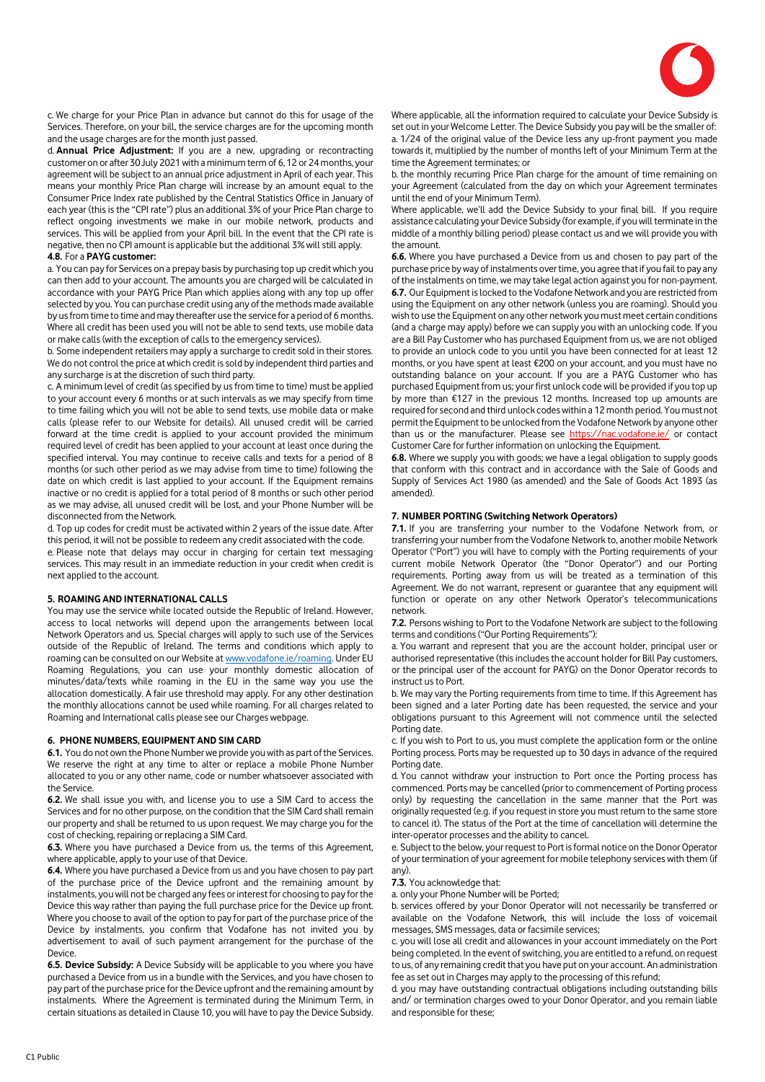

c. We charge for your Price Plan in advance but cannot do this for usage of the Services. Therefore, on your bill, the service charges are for the upcoming month and the usage charges are for the month just passed.

d. **Annual Price Adjustment:** If you are a new, upgrading or recontracting customer on or after 30 July 2021 with a minimum term of 6, 12 or 24 months, your agreement will be subject to an annual price adjustment in April of each year. This means your monthly Price Plan charge will increase by an amount equal to the Consumer Price Index rate published by the Central Statistics Office in January of each year (this is the "CPI rate") plus an additional 3% of your Price Plan charge to reflect ongoing investments we make in our mobile network, products and services. This will be applied from your April bill. In the event that the CPI rate is negative, then no CPI amount is applicable but the additional 3% will still apply.

#### **4.8.** For a **PAYG customer:**

a. You can pay for Services on a prepay basis by purchasing top up credit which you can then add to your account. The amounts you are charged will be calculated in accordance with your PAYG Price Plan which applies along with any top up offer selected by you. You can purchase credit using any of the methods made available by us from time to time and may thereafter use the service for a period of 6 months. Where all credit has been used you will not be able to send texts, use mobile data or make calls (with the exception of calls to the emergency services).

b. Some independent retailers may apply a surcharge to credit sold in their stores. We do not control the price at which credit is sold by independent third parties and any surcharge is at the discretion of such third party.

c. A minimum level of credit (as specified by us from time to time) must be applied to your account every 6 months or at such intervals as we may specify from time to time failing which you will not be able to send texts, use mobile data or make calls (please refer to our Website for details). All unused credit will be carried forward at the time credit is applied to your account provided the minimum required level of credit has been applied to your account at least once during the specified interval. You may continue to receive calls and texts for a period of 8 months (or such other period as we may advise from time to time) following the date on which credit is last applied to your account. If the Equipment remains inactive or no credit is applied for a total period of 8 months or such other period as we may advise, all unused credit will be lost, and your Phone Number will be disconnected from the Network.

d. Top up codes for credit must be activated within 2 years of the issue date. After this period, it will not be possible to redeem any credit associated with the code.

e. Please note that delays may occur in charging for certain text messaging services. This may result in an immediate reduction in your credit when credit is next applied to the account.

#### **5. ROAMING AND INTERNATIONAL CALLS**

You may use the service while located outside the Republic of Ireland. However, access to local networks will depend upon the arrangements between local Network Operators and us. Special charges will apply to such use of the Services outside of the Republic of Ireland. The terms and conditions which apply to roaming can be consulted on our Website at [www.vodafone.ie/roaming.](http://www.vodafone.ie/roaming) Under EU Roaming Regulations, you can use your monthly domestic allocation of minutes/data/texts while roaming in the EU in the same way you use the allocation domestically. A fair use threshold may apply. For any other destination the monthly allocations cannot be used while roaming. For all charges related to Roaming and International calls please see our Charges webpage.

#### **6. PHONE NUMBERS, EQUIPMENT AND SIM CARD**

**6.1.** You do not own the Phone Number we provide you with as part of the Services. We reserve the right at any time to alter or replace a mobile Phone Number allocated to you or any other name, code or number whatsoever associated with the Service.

**6.2.** We shall issue you with, and license you to use a SIM Card to access the Services and for no other purpose, on the condition that the SIM Card shall remain our property and shall be returned to us upon request. We may charge you for the cost of checking, repairing or replacing a SIM Card.

**6.3.** Where you have purchased a Device from us, the terms of this Agreement, where applicable, apply to your use of that Device.

**6.4.** Where you have purchased a Device from us and you have chosen to pay part of the purchase price of the Device upfront and the remaining amount by instalments, you will not be charged any fees or interest for choosing to pay for the Device this way rather than paying the full purchase price for the Device up front. Where you choose to avail of the option to pay for part of the purchase price of the Device by instalments, you confirm that Vodafone has not invited you by advertisement to avail of such payment arrangement for the purchase of the Device.

**6.5. Device Subsidy:** A Device Subsidy will be applicable to you where you have purchased a Device from us in a bundle with the Services, and you have chosen to pay part of the purchase price for the Device upfront and the remaining amount by instalments. Where the Agreement is terminated during the Minimum Term, in certain situations as detailed in Clause 10, you will have to pay the Device Subsidy.

Where applicable, all the information required to calculate your Device Subsidy is set out in your Welcome Letter. The Device Subsidy you pay will be the smaller of: a. 1/24 of the original value of the Device less any up-front payment you made towards it, multiplied by the number of months left of your Minimum Term at the time the Agreement terminates; or

b. the monthly recurring Price Plan charge for the amount of time remaining on your Agreement (calculated from the day on which your Agreement terminates until the end of your Minimum Term).

Where applicable, we'll add the Device Subsidy to your final bill. If you require assistance calculating your Device Subsidy (for example, if you will terminate in the middle of a monthly billing period) please contact us and we will provide you with the amount.

**6.6.** Where you have purchased a Device from us and chosen to pay part of the purchase price by way of instalments over time, you agree that if you fail to pay any of the instalments on time, we may take legal action against you for non-payment. **6.7.** Our Equipment is locked to the Vodafone Network and you are restricted from using the Equipment on any other network (unless you are roaming). Should you wish to use the Equipment on any other network you must meet certain conditions (and a charge may apply) before we can supply you with an unlocking code. If you are a Bill Pay Customer who has purchased Equipment from us, we are not obliged to provide an unlock code to you until you have been connected for at least 12 months, or you have spent at least €200 on your account, and you must have no outstanding balance on your account. If you are a PAYG Customer who has purchased Equipment from us; your first unlock code will be provided if you top up by more than €127 in the previous 12 months. Increased top up amounts are required for second and third unlock codes within a 12 month period. You must not permit the Equipment to be unlocked from the Vodafone Network by anyone other than us or the manufacturer. Please see<https://nac.vodafone.ie/> or contact Customer Care for further information on unlocking the Equipment.

**6.8.** Where we supply you with goods; we have a legal obligation to supply goods that conform with this contract and in accordance with the Sale of Goods and Supply of Services Act 1980 (as amended) and the Sale of Goods Act 1893 (as amended).

#### **7. NUMBER PORTING (Switching Network Operators)**

**7.1.** If you are transferring your number to the Vodafone Network from, or transferring your number from the Vodafone Network to, another mobile Network Operator ("Port") you will have to comply with the Porting requirements of your current mobile Network Operator (the "Donor Operator") and our Porting requirements. Porting away from us will be treated as a termination of this Agreement. We do not warrant, represent or guarantee that any equipment will function or operate on any other Network Operator's telecommunications network.

**7.2.** Persons wishing to Port to the Vodafone Network are subject to the following terms and conditions ("Our Porting Requirements"):

a. You warrant and represent that you are the account holder, principal user or authorised representative (this includes the account holder for Bill Pay customers, or the principal user of the account for PAYG) on the Donor Operator records to instruct us to Port.

b. We may vary the Porting requirements from time to time. If this Agreement has been signed and a later Porting date has been requested, the service and your obligations pursuant to this Agreement will not commence until the selected Porting date.

c. If you wish to Port to us, you must complete the application form or the online Porting process. Ports may be requested up to 30 days in advance of the required Porting date.

d. You cannot withdraw your instruction to Port once the Porting process has commenced. Ports may be cancelled (prior to commencement of Porting process only) by requesting the cancellation in the same manner that the Port was originally requested (e.g. if you request in store you must return to the same store to cancel it). The status of the Port at the time of cancellation will determine the inter-operator processes and the ability to cancel.

e. Subject to the below, your request to Port is formal notice on the Donor Operator of your termination of your agreement for mobile telephony services with them (if any).

**7.3.** You acknowledge that:

a. only your Phone Number will be Ported;

b. services offered by your Donor Operator will not necessarily be transferred or available on the Vodafone Network, this will include the loss of voicemail messages, SMS messages, data or facsimile services;

c. you will lose all credit and allowances in your account immediately on the Port being completed. In the event of switching, you are entitled to a refund, on request to us, of any remaining credit that you have put on your account. An administration fee as set out in Charges may apply to the processing of this refund;

d. you may have outstanding contractual obligations including outstanding bills and/ or termination charges owed to your Donor Operator, and you remain liable and responsible for these;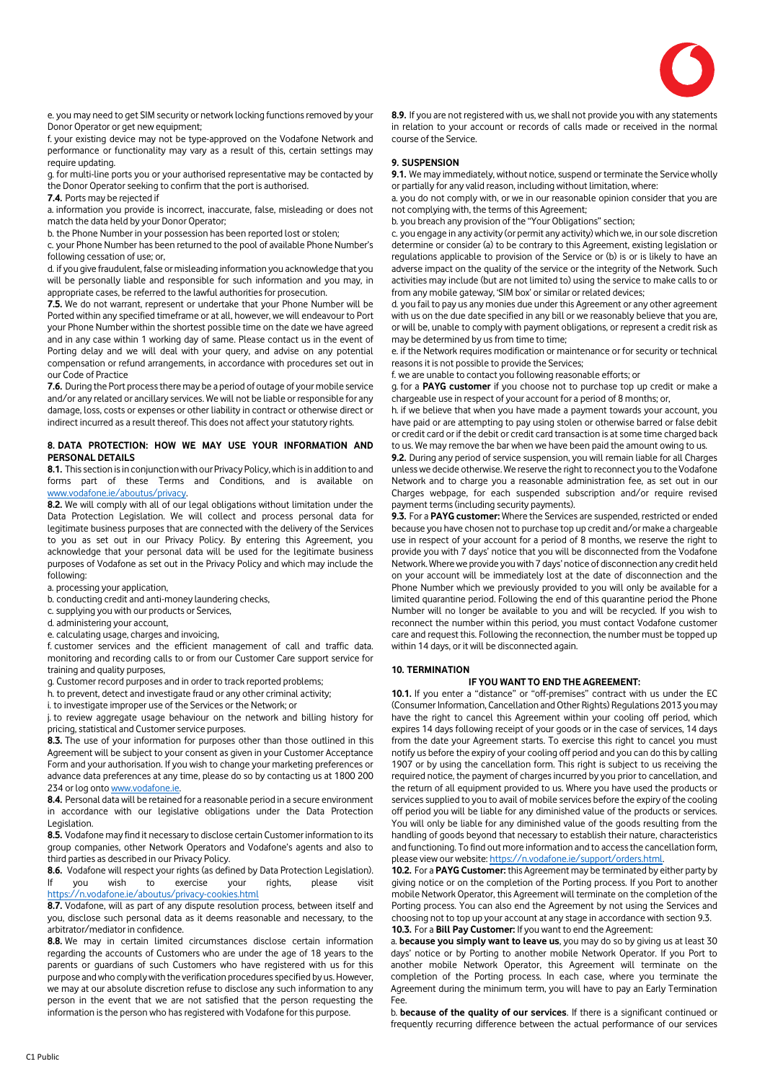

e. you may need to get SIM security or network locking functions removed by your Donor Operator or get new equipment;

f. your existing device may not be type-approved on the Vodafone Network and performance or functionality may vary as a result of this, certain settings may require updating.

g. for multi-line ports you or your authorised representative may be contacted by the Donor Operator seeking to confirm that the port is authorised.

**7.4.** Ports may be rejected if

a. information you provide is incorrect, inaccurate, false, misleading or does not match the data held by your Donor Operator;

b. the Phone Number in your possession has been reported lost or stolen;

c. your Phone Number has been returned to the pool of available Phone Number's following cessation of use; or,

d. if you give fraudulent, false or misleading information you acknowledge that you will be personally liable and responsible for such information and you may, in appropriate cases, be referred to the lawful authorities for prosecution.

**7.5.** We do not warrant, represent or undertake that your Phone Number will be Ported within any specified timeframe or at all, however, we will endeavour to Port your Phone Number within the shortest possible time on the date we have agreed and in any case within 1 working day of same. Please contact us in the event of Porting delay and we will deal with your query, and advise on any potential compensation or refund arrangements, in accordance with procedures set out in our Code of Practice

**7.6.** During the Port process there may be a period of outage of your mobile service and/or any related or ancillary services. We will not be liable or responsible for any damage, loss, costs or expenses or other liability in contract or otherwise direct or indirect incurred as a result thereof. This does not affect your statutory rights.

# **8. DATA PROTECTION: HOW WE MAY USE YOUR INFORMATION AND PERSONAL DETAILS**

**8.1.** This section is in conjunction with our Privacy Policy, which is in addition to and forms part of these Terms and Conditions, and is available on [www.vodafone.ie/aboutus/privacy.](http://www.vodafone.ie/aboutus/privacy)

**8.2.** We will comply with all of our legal obligations without limitation under the Data Protection Legislation. We will collect and process personal data for legitimate business purposes that are connected with the delivery of the Services to you as set out in our Privacy Policy. By entering this Agreement, you acknowledge that your personal data will be used for the legitimate business purposes of Vodafone as set out in the Privacy Policy and which may include the following:

a. processing your application,

b. conducting credit and anti-money laundering checks,

c. supplying you with our products or Services,

d. administering your account,

e. calculating usage, charges and invoicing,

f. customer services and the efficient management of call and traffic data. monitoring and recording calls to or from our Customer Care support service for training and quality purposes,

g. Customer record purposes and in order to track reported problems;

h. to prevent, detect and investigate fraud or any other criminal activity;

i. to investigate improper use of the Services or the Network; or

j. to review aggregate usage behaviour on the network and billing history for pricing, statistical and Customer service purposes.

**8.3.** The use of your information for purposes other than those outlined in this Agreement will be subject to your consent as given in your Customer Acceptance Form and your authorisation. If you wish to change your marketing preferences or advance data preferences at any time, please do so by contacting us at 1800 200 234 or log ont[o www.vodafone.ie.](http://www.vodafone.ie/)

**8.4.** Personal data will be retained for a reasonable period in a secure environment in accordance with our legislative obligations under the Data Protection Legislation.

**8.5.** Vodafone may find it necessary to disclose certain Customer information to its group companies, other Network Operators and Vodafone's agents and also to third parties as described in our Privacy Policy.

**8.6.** Vodafone will respect your rights (as defined by Data Protection Legislation). If you wish to exercise your rights, please visit <https://n.vodafone.ie/aboutus/privacy-cookies.html>

**8.7.** Vodafone, will as part of any dispute resolution process, between itself and you, disclose such personal data as it deems reasonable and necessary, to the arbitrator/mediator in confidence.

**8.8.** We may in certain limited circumstances disclose certain information regarding the accounts of Customers who are under the age of 18 years to the parents or guardians of such Customers who have registered with us for this purpose and who comply with the verification procedures specified by us. However, we may at our absolute discretion refuse to disclose any such information to any person in the event that we are not satisfied that the person requesting the information is the person who has registered with Vodafone for this purpose.

**8.9.** If you are not registered with us, we shall not provide you with any statements in relation to your account or records of calls made or received in the normal course of the Service.

# **9. SUSPENSION**

**9.1.** We may immediately, without notice, suspend or terminate the Service wholly or partially for any valid reason, including without limitation, where:

a. you do not comply with, or we in our reasonable opinion consider that you are not complying with, the terms of this Agreement;

b. you breach any provision of the "Your Obligations" section;

c. you engage in any activity (or permit any activity) which we, in our sole discretion determine or consider (a) to be contrary to this Agreement, existing legislation or regulations applicable to provision of the Service or (b) is or is likely to have an adverse impact on the quality of the service or the integrity of the Network. Such activities may include (but are not limited to) using the service to make calls to or from any mobile gateway, 'SIM box' or similar or related devices;

d. you fail to pay us any monies due under this Agreement or any other agreement with us on the due date specified in any bill or we reasonably believe that you are, or will be, unable to comply with payment obligations, or represent a credit risk as may be determined by us from time to time;

e. if the Network requires modification or maintenance or for security or technical reasons it is not possible to provide the Services;

f. we are unable to contact you following reasonable efforts; or

g. for a **PAYG customer** if you choose not to purchase top up credit or make a chargeable use in respect of your account for a period of 8 months; or,

h. if we believe that when you have made a payment towards your account, you have paid or are attempting to pay using stolen or otherwise barred or false debit or credit card or if the debit or credit card transaction is at some time charged back to us. We may remove the bar when we have been paid the amount owing to us.

**9.2.** During any period of service suspension, you will remain liable for all Charges unless we decide otherwise. We reserve the right to reconnect you to the Vodafone Network and to charge you a reasonable administration fee, as set out in our Charges webpage, for each suspended subscription and/or require revised payment terms (including security payments).

**9.3.** For a **PAYG customer:** Where the Services are suspended, restricted or ended because you have chosen not to purchase top up credit and/or make a chargeable use in respect of your account for a period of 8 months, we reserve the right to provide you with 7 days' notice that you will be disconnected from the Vodafone Network.Where we provide you with 7 days' notice of disconnection any credit held on your account will be immediately lost at the date of disconnection and the Phone Number which we previously provided to you will only be available for a limited quarantine period. Following the end of this quarantine period the Phone Number will no longer be available to you and will be recycled. If you wish to reconnect the number within this period, you must contact Vodafone customer care and request this. Following the reconnection, the number must be topped up within 14 days, or it will be disconnected again.

# **10. TERMINATION**

# **IF YOU WANT TO END THE AGREEMENT:**

**10.1.** If you enter a "distance" or "off-premises" contract with us under the EC (Consumer Information, Cancellation and Other Rights) Regulations 2013 you may have the right to cancel this Agreement within your cooling off period, which expires 14 days following receipt of your goods or in the case of services, 14 days from the date your Agreement starts. To exercise this right to cancel you must notify us before the expiry of your cooling off period and you can do this by calling 1907 or by using the cancellation form. This right is subject to us receiving the required notice, the payment of charges incurred by you prior to cancellation, and the return of all equipment provided to us. Where you have used the products or services supplied to you to avail of mobile services before the expiry of the cooling off period you will be liable for any diminished value of the products or services. You will only be liable for any diminished value of the goods resulting from the handling of goods beyond that necessary to establish their nature, characteristics and functioning. To find out more information and to access the cancellation form, please view our website[: https://n.vodafone.ie/support/orders.html.](https://n.vodafone.ie/support/orders.html)

**10.2.** For a **PAYG Customer:** this Agreement may be terminated by either party by giving notice or on the completion of the Porting process. If you Port to another mobile Network Operator, this Agreement will terminate on the completion of the Porting process. You can also end the Agreement by not using the Services and choosing not to top up your account at any stage in accordance with section 9.3. **10.3.** For a **Bill Pay Customer:** If you want to end the Agreement:

a. **because you simply want to leave us**, you may do so by giving us at least 30 days' notice or by Porting to another mobile Network Operator. If you Port to another mobile Network Operator, this Agreement will terminate on the completion of the Porting process. In each case, where you terminate the Agreement during the minimum term, you will have to pay an Early Termination Fee.

b. **because of the quality of our services**. If there is a significant continued or frequently recurring difference between the actual performance of our services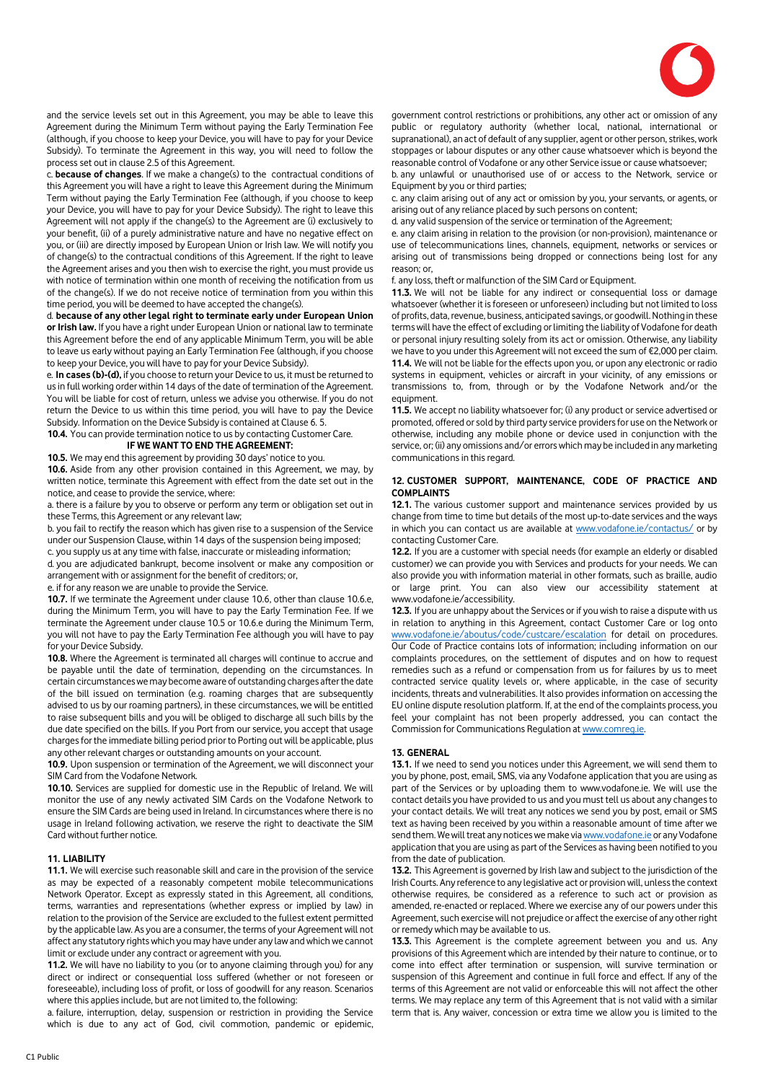

and the service levels set out in this Agreement, you may be able to leave this Agreement during the Minimum Term without paying the Early Termination Fee (although, if you choose to keep your Device, you will have to pay for your Device Subsidy). To terminate the Agreement in this way, you will need to follow the process set out in clause 2.5 of this Agreement.

c. **because of changes**. If we make a change(s) to the contractual conditions of this Agreement you will have a right to leave this Agreement during the Minimum Term without paying the Early Termination Fee (although, if you choose to keep your Device, you will have to pay for your Device Subsidy). The right to leave this Agreement will not apply if the change(s) to the Agreement are (i) exclusively to your benefit, (ii) of a purely administrative nature and have no negative effect on you, or (iii) are directly imposed by European Union or Irish law. We will notify you of change(s) to the contractual conditions of this Agreement. If the right to leave the Agreement arises and you then wish to exercise the right, you must provide us with notice of termination within one month of receiving the notification from us of the change(s). If we do not receive notice of termination from you within this time period, you will be deemed to have accepted the change(s).

d. **because of any other legal right to terminate early under European Union or Irish law.** If you have a right under European Union or national law to terminate this Agreement before the end of any applicable Minimum Term, you will be able to leave us early without paying an Early Termination Fee (although, if you choose to keep your Device, you will have to pay for your Device Subsidy).

e. **In cases (b)-(d),** if you choose to return your Device to us, it must be returned to us in full working order within 14 days of the date of termination of the Agreement. You will be liable for cost of return, unless we advise you otherwise. If you do not return the Device to us within this time period, you will have to pay the Device Subsidy. Information on the Device Subsidy is contained at Clause 6. 5.

**10.4.** You can provide termination notice to us by contacting Customer Care. **IF WE WANT TO END THE AGREEMENT:**

**10.5.** We may end this agreement by providing 30 days' notice to you.

**10.6.** Aside from any other provision contained in this Agreement, we may, by written notice, terminate this Agreement with effect from the date set out in the notice, and cease to provide the service, where:

a. there is a failure by you to observe or perform any term or obligation set out in these Terms, this Agreement or any relevant law;

b. you fail to rectify the reason which has given rise to a suspension of the Service under our Suspension Clause, within 14 days of the suspension being imposed; c. you supply us at any time with false, inaccurate or misleading information;

d. you are adjudicated bankrupt, become insolvent or make any composition or arrangement with or assignment for the benefit of creditors; or,

e. if for any reason we are unable to provide the Service.

**10.7.** If we terminate the Agreement under clause 10.6, other than clause 10.6.e, during the Minimum Term, you will have to pay the Early Termination Fee. If we terminate the Agreement under clause 10.5 or 10.6.e during the Minimum Term, you will not have to pay the Early Termination Fee although you will have to pay for your Device Subsidy.

**10.8.** Where the Agreement is terminated all charges will continue to accrue and be payable until the date of termination, depending on the circumstances. In certain circumstances we may become aware of outstanding charges after the date of the bill issued on termination (e.g. roaming charges that are subsequently advised to us by our roaming partners), in these circumstances, we will be entitled to raise subsequent bills and you will be obliged to discharge all such bills by the due date specified on the bills. If you Port from our service, you accept that usage charges for the immediate billing period prior to Porting out will be applicable, plus any other relevant charges or outstanding amounts on your account.

**10.9.** Upon suspension or termination of the Agreement, we will disconnect your SIM Card from the Vodafone Network.

**10.10.** Services are supplied for domestic use in the Republic of Ireland. We will monitor the use of any newly activated SIM Cards on the Vodafone Network to ensure the SIM Cards are being used in Ireland. In circumstances where there is no usage in Ireland following activation, we reserve the right to deactivate the SIM Card without further notice.

#### **11. LIABILITY**

**11.1.** We will exercise such reasonable skill and care in the provision of the service as may be expected of a reasonably competent mobile telecommunications Network Operator. Except as expressly stated in this Agreement, all conditions, terms, warranties and representations (whether express or implied by law) in relation to the provision of the Service are excluded to the fullest extent permitted by the applicable law. As you are a consumer, the terms of your Agreement will not affect any statutory rights which you may have under any law and which we cannot limit or exclude under any contract or agreement with you.

**11.2.** We will have no liability to you (or to anyone claiming through you) for any direct or indirect or consequential loss suffered (whether or not foreseen or foreseeable), including loss of profit, or loss of goodwill for any reason. Scenarios where this applies include, but are not limited to, the following:

a. failure, interruption, delay, suspension or restriction in providing the Service which is due to any act of God, civil commotion, pandemic or epidemic,

government control restrictions or prohibitions, any other act or omission of any public or regulatory authority (whether local, national, international or supranational), an act of default of any supplier, agent or other person, strikes, work stoppages or labour disputes or any other cause whatsoever which is beyond the reasonable control of Vodafone or any other Service issue or cause whatsoever;

b. any unlawful or unauthorised use of or access to the Network, service or Equipment by you or third parties;

c. any claim arising out of any act or omission by you, your servants, or agents, or arising out of any reliance placed by such persons on content;

d. any valid suspension of the service or termination of the Agreement;

e. any claim arising in relation to the provision (or non-provision), maintenance or use of telecommunications lines, channels, equipment, networks or services or arising out of transmissions being dropped or connections being lost for any reason; or,

f. any loss, theft or malfunction of the SIM Card or Equipment.

**11.3.** We will not be liable for any indirect or consequential loss or damage whatsoever (whether it is foreseen or unforeseen) including but not limited to loss of profits, data, revenue, business, anticipated savings, or goodwill. Nothing in these terms will have the effect of excluding or limiting the liability of Vodafone for death or personal injury resulting solely from its act or omission. Otherwise, any liability we have to you under this Agreement will not exceed the sum of €2,000 per claim. **11.4.** We will not be liable for the effects upon you, or upon any electronic or radio systems in equipment, vehicles or aircraft in your vicinity, of any emissions or transmissions to, from, through or by the Vodafone Network and/or the equipment.

**11.5.** We accept no liability whatsoever for; (i) any product or service advertised or promoted, offered or sold by third party service providers for use on the Network or otherwise, including any mobile phone or device used in conjunction with the service, or; (ii) any omissions and/or errors which may be included in any marketing communications in this regard.

#### **12. CUSTOMER SUPPORT, MAINTENANCE, CODE OF PRACTICE AND COMPLAINTS**

**12.1.** The various customer support and maintenance services provided by us change from time to time but details of the most up-to-date services and the ways in which you can contact us are available at [www.vodafone.ie/contactus/](http://www.vodafone.ie/contactus/) or by contacting Customer Care.

**12.2.** If you are a customer with special needs (for example an elderly or disabled customer) we can provide you with Services and products for your needs. We can also provide you with information material in other formats, such as braille, audio or large print. You can also view our accessibility statement at www.vodafone.ie/accessibility.

**12.3.** If you are unhappy about the Services or if you wish to raise a dispute with us in relation to anything in this Agreement, contact Customer Care or log onto [www.vodafone.ie/aboutus/code/custcare/escalation](http://www.vodafone.ie/aboutus/code/custcare/escalation) for detail on procedures. Our Code of Practice contains lots of information; including information on our complaints procedures, on the settlement of disputes and on how to request remedies such as a refund or compensation from us for failures by us to meet contracted service quality levels or, where applicable, in the case of security incidents, threats and vulnerabilities. It also provides information on accessing the EU online dispute resolution platform. If, at the end of the complaints process, you feel your complaint has not been properly addressed, you can contact the Commission for Communications Regulation a[t www.comreg.ie.](http://www.comreg.ie/) 

#### **13. GENERAL**

**13.1.** If we need to send you notices under this Agreement, we will send them to you by phone, post, email, SMS, via any Vodafone application that you are using as part of the Services or by uploading them to www.vodafone.ie. We will use the contact details you have provided to us and you must tell us about any changes to your contact details. We will treat any notices we send you by post, email or SMS text as having been received by you within a reasonable amount of time after we send them. We will treat any notices we make vi[a www.vodafone.ie](http://www.vodafone.ie/) or any Vodafone application that you are using as part of the Services as having been notified to you from the date of publication.

**13.2.** This Agreement is governed by Irish law and subject to the jurisdiction of the Irish Courts. Any reference to any legislative act or provision will, unless the context otherwise requires, be considered as a reference to such act or provision as amended, re-enacted or replaced. Where we exercise any of our powers under this Agreement, such exercise will not prejudice or affect the exercise of any other right or remedy which may be available to us.

**13.3.** This Agreement is the complete agreement between you and us. Any provisions of this Agreement which are intended by their nature to continue, or to come into effect after termination or suspension, will survive termination or suspension of this Agreement and continue in full force and effect. If any of the terms of this Agreement are not valid or enforceable this will not affect the other terms. We may replace any term of this Agreement that is not valid with a similar term that is. Any waiver, concession or extra time we allow you is limited to the